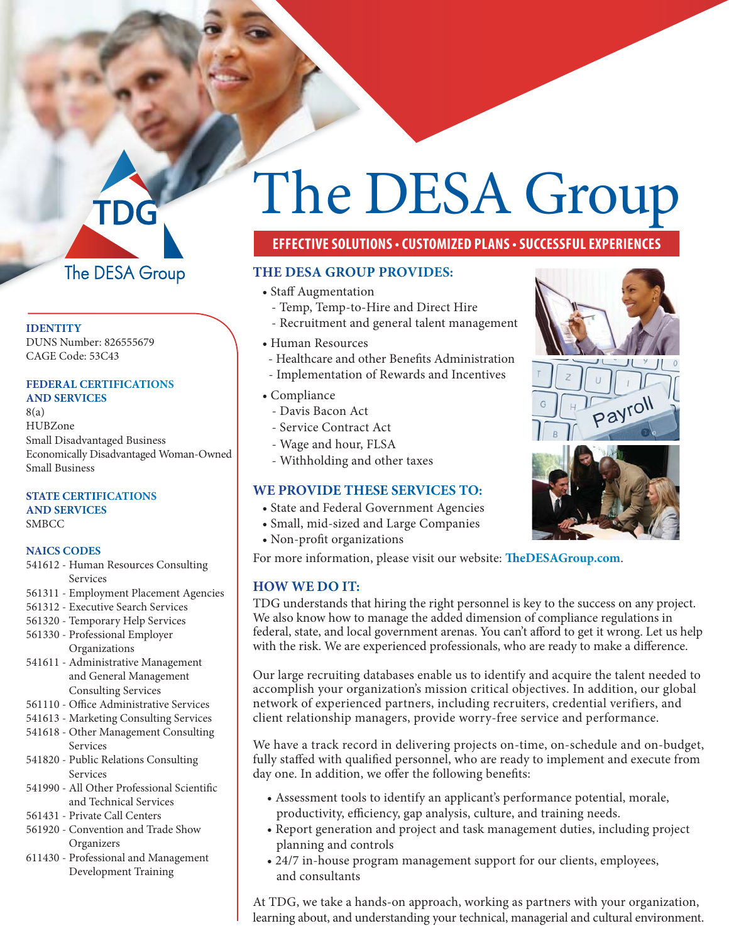# The DESA Group

#### **IDENTITY**

DUNS Number: 826555679 CAGE Code: 53C43

#### **FEDERAL CERTIFICATIONS AND SERVICES**

8(a) HUBZone Small Disadvantaged Business Economically Disadvantaged Woman-Owned Small Business

#### **STATE CERTIFICATIONS AND SERVICES**

SMBCC

#### **NAICS CODES**

- 541612 Human Resources Consulting Services
- 561311 Employment Placement Agencies
- 561312 Executive Search Services
- 561320 Temporary Help Services
- 561330 Professional Employer Organizations
- 541611 Administrative Management and General Management Consulting Services
- 561110 Office Administrative Services
- 541613 Marketing Consulting Services
- 541618 Other Management Consulting Services
- 541820 Public Relations Consulting Services
- 541990 All Other Professional Scientific and Technical Services
- 561431 Private Call Centers
- 561920 Convention and Trade Show **Organizers**
- 611430 Professional and Management Development Training

# The DESA Group

## **EFFECTIVE SOLUTIONS • CUSTOMIZED PLANS • SUCCESSFUL EXPERIENCES**

#### **THE DESA GROUP PROVIDES:**

- Staff Augmentation
	- Temp, Temp-to-Hire and Direct Hire
	- Recruitment and general talent management
- Human Resources
- Healthcare and other Benefits Administration
- Implementation of Rewards and Incentives
- Compliance
- Davis Bacon Act
- Service Contract Act
- Wage and hour, FLSA
- Withholding and other taxes

#### **WE PROVIDE THESE SERVICES TO:**

- State and Federal Government Agencies
- Small, mid-sized and Large Companies
- Non-profit organizations

For more information, please visit our website: **TheDESAGroup.com**.

#### **HOW WE DO IT:**

TDG understands that hiring the right personnel is key to the success on any project. We also know how to manage the added dimension of compliance regulations in federal, state, and local government arenas. You can't afford to get it wrong. Let us help with the risk. We are experienced professionals, who are ready to make a difference.

Our large recruiting databases enable us to identify and acquire the talent needed to accomplish your organization's mission critical objectives. In addition, our global network of experienced partners, including recruiters, credential verifiers, and client relationship managers, provide worry-free service and performance.

We have a track record in delivering projects on-time, on-schedule and on-budget, fully staffed with qualified personnel, who are ready to implement and execute from day one. In addition, we offer the following benefits:

- Assessment tools to identify an applicant's performance potential, morale, productivity, efficiency, gap analysis, culture, and training needs.
- Report generation and project and task management duties, including project planning and controls
- 24/7 in-house program management support for our clients, employees, and consultants

At TDG, we take a hands-on approach, working as partners with your organization, learning about, and understanding your technical, managerial and cultural environment.